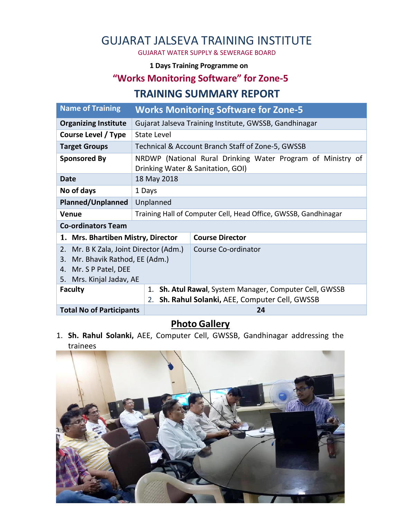# GUJARAT JALSEVA TRAINING INSTITUTE

GUJARAT WATER SUPPLY & SEWERAGE BOARD

#### **1 Days Training Programme on**

#### **"Works Monitoring Software" for Zone-5**

#### **TRAINING SUMMARY REPORT**

| <b>Name of Training</b>                   | <b>Works Monitoring Software for Zone-5</b>                                                      |                                                      |  |  |  |
|-------------------------------------------|--------------------------------------------------------------------------------------------------|------------------------------------------------------|--|--|--|
| <b>Organizing Institute</b>               | Gujarat Jalseva Training Institute, GWSSB, Gandhinagar                                           |                                                      |  |  |  |
| Course Level / Type                       | <b>State Level</b>                                                                               |                                                      |  |  |  |
| <b>Target Groups</b>                      | Technical & Account Branch Staff of Zone-5, GWSSB                                                |                                                      |  |  |  |
| <b>Sponsored By</b>                       | NRDWP (National Rural Drinking Water Program of Ministry of<br>Drinking Water & Sanitation, GOI) |                                                      |  |  |  |
| Date                                      | 18 May 2018                                                                                      |                                                      |  |  |  |
| No of days                                | 1 Days                                                                                           |                                                      |  |  |  |
| Planned/Unplanned                         | Unplanned                                                                                        |                                                      |  |  |  |
| Venue                                     | Training Hall of Computer Cell, Head Office, GWSSB, Gandhinagar                                  |                                                      |  |  |  |
| <b>Co-ordinators Team</b>                 |                                                                                                  |                                                      |  |  |  |
| 1. Mrs. Bhartiben Mistry, Director        |                                                                                                  | <b>Course Director</b>                               |  |  |  |
| Mr. B K Zala, Joint Director (Adm.)<br>2. |                                                                                                  | Course Co-ordinator                                  |  |  |  |
| Mr. Bhavik Rathod, EE (Adm.)<br>3.        |                                                                                                  |                                                      |  |  |  |
| 4. Mr. S P Patel, DEE                     |                                                                                                  |                                                      |  |  |  |
| 5. Mrs. Kinjal Jadav, AE                  |                                                                                                  |                                                      |  |  |  |
| <b>Faculty</b><br>1.                      |                                                                                                  | Sh. Atul Rawal, System Manager, Computer Cell, GWSSB |  |  |  |
|                                           | 2.                                                                                               | Sh. Rahul Solanki, AEE, Computer Cell, GWSSB         |  |  |  |
| <b>Total No of Participants</b>           |                                                                                                  | 24                                                   |  |  |  |

### **Photo Gallery**

1. **Sh. Rahul Solanki,** AEE, Computer Cell, GWSSB, Gandhinagar addressing the trainees